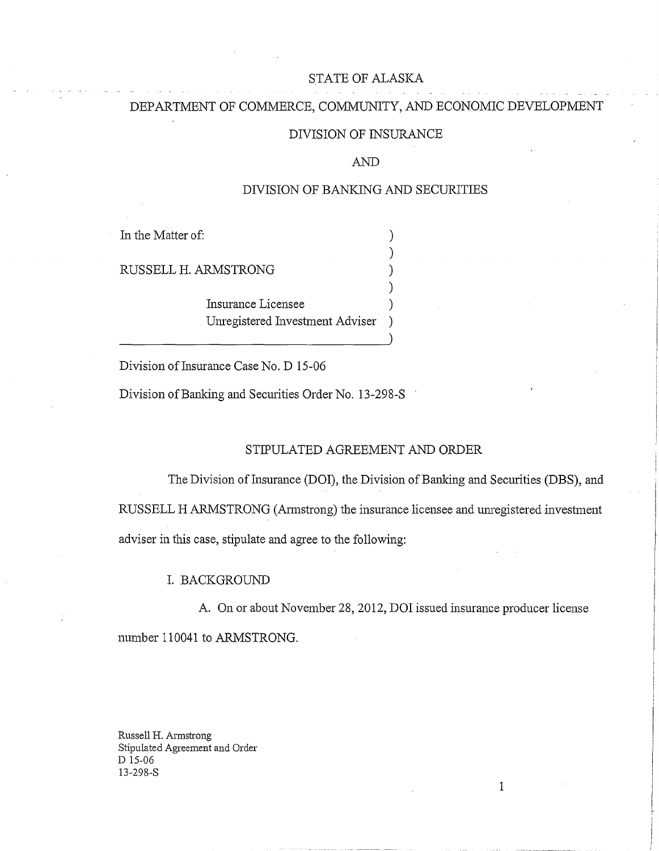## STATE OF ALASKA

# DEPARTMENT OF COMMERCE, COMMUNITY, AND ECONOMIC DEVELOPMENT

#### DIVISION OF INSURANCE

#### AND

### DIVISION OF BANKING AND SECURITIES

)

)

In the Matter of:  $\qquad \qquad$  )

RUSSELL H. ARMSTRONG )

Insurance Licensee ) Unregistered Investment Adviser )

Division of Insurance Case No. D 15-06

Division of Banking and Securities Order No. 13-298-S

### STIPULATED AGREEMENT AND ORDER

The Division of Insurance (DOI), the Division of Banking and Securities (DBS), and RUSSELL H ARMSTRONG (Annstrong) the insurance licensee and unregistered investment adviser in this case, stipulate and agree to the following:

#### I. BACKGROUND

A. On or about November 28, 2012, DOI issued insurance producer license mumber 110041 to ARMSTRONG.

1

Russell H. Armstrong Stipulated Agreement and Order D 15-06 13-298-S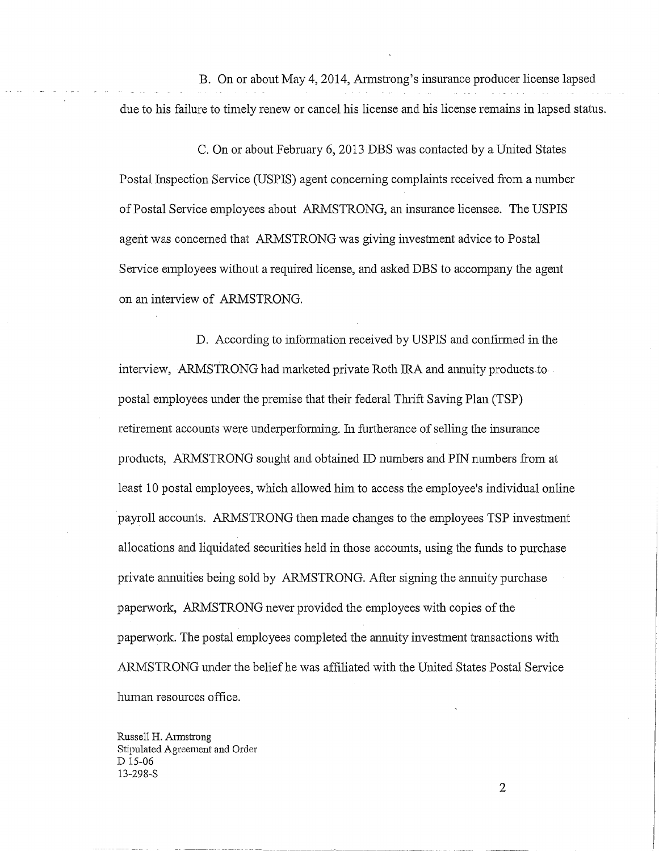B. On or about May 4, 2014, Annstrong's insurance producer license lapsed due to his failure to timely renew or cancel his license and his license remains in lapsed status.

C. On or about February 6, 2013 DBS was contacted by a United States Postal Inspection Service (USPIS) agent concerning complaints received from a number of Postal Service employees about ARMSTRONG, an insurance licensee. The USPIS agent was concerned that ARMSTRONG was giving investment advice to Postal Service employees without a required license, and asked DBS to accompany the agent on an interview of ARMSTRONG.

D. According to information received by USPIS and confirmed in the interview, ARMSTRONG had marketed private Roth IRA and ammity products to postal employees under the premise that their federal Thrift Saving Plan (TSP) retirement accounts were underperforming. In furtherance of selling the insurance products, ARMSTRONG sought and obtained ID numbers and PIN munbers from at least 10 postal employees, which allowed him to access the employee's individual online payroll accounts. ARMSTRONG then made changes to the employees TSP investment allocations and liquidated securities held in those accounts, using the funds to purchase private annuities being sold by ARMSTRONG. After signing the annuity purchase paperwork, ARMSTRONG never provided the employees with copies of the paperwork. The postal employees completed the annuity investment transactions with ARMSTRONG tmder the belief he was affiliated with the United States Postal Service human resources office.

Russell H. Armstrong Stipulated Agreement and Order D 15-06 13-298-S

2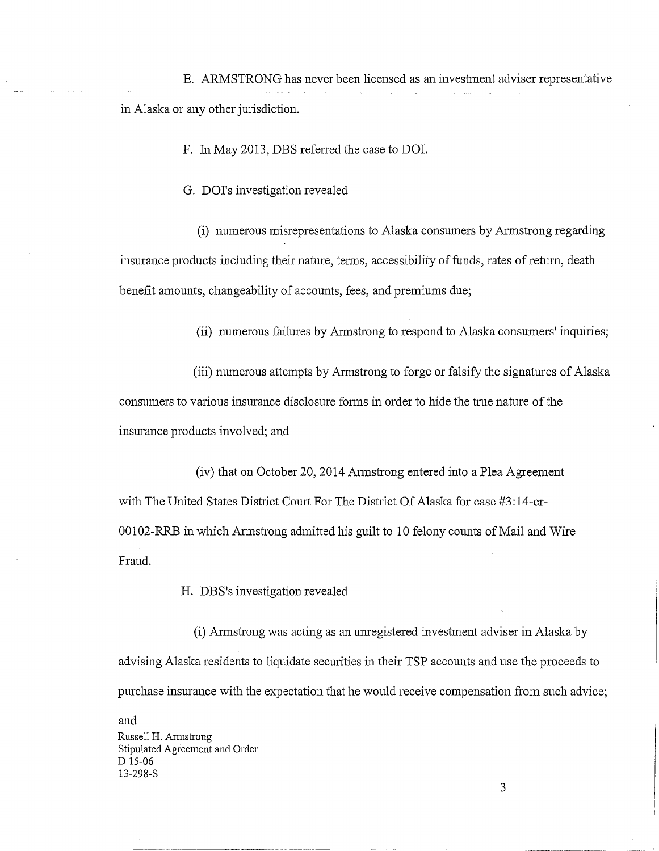E. ARMSTRONG has never been licensed as an investment adviser representative in Alaska or any other jurisdiction.

F. In May 2013, DBS refened the case to DOI.

G. DOI's investigation revealed

(i) munerous misrepresentations to Alaska consumers by Annstrong regarding insurance products including their nature, terms, accessibility of funds, rates of return, death benefit amounts, changeability of accounts, fees, and premiums due;

(ii) numerous failmes by Armstrong to respond to Alaska consumers' inquiries;

(iii) numerous attempts by Annstrong to forge or falsify the signatures of Alaska consumers to various insurance disclosure forms in order to hide the true nature of the insurance products involved; and

(iv) that on October 20, 2014 Annstrong entered into a Plea Agreement with The United States District Court For The District Of Alaska for case #3:14-cr- $00102$ -RRB in which Armstrong admitted his guilt to 10 felony counts of Mail and Wire Fraud.

H. DBS's investigation revealed

(i) Armstrong was acting as an unregistered investment adviser in Alaska by advising Alaska residents to liquidate secmities in their TSP accounts and use the proceeds to purchase insurance with the expectation that he would receive compensation from such advice;

and Russell H. Armstrong Stipulated Agreement and Order D 15-06 13-298-S

3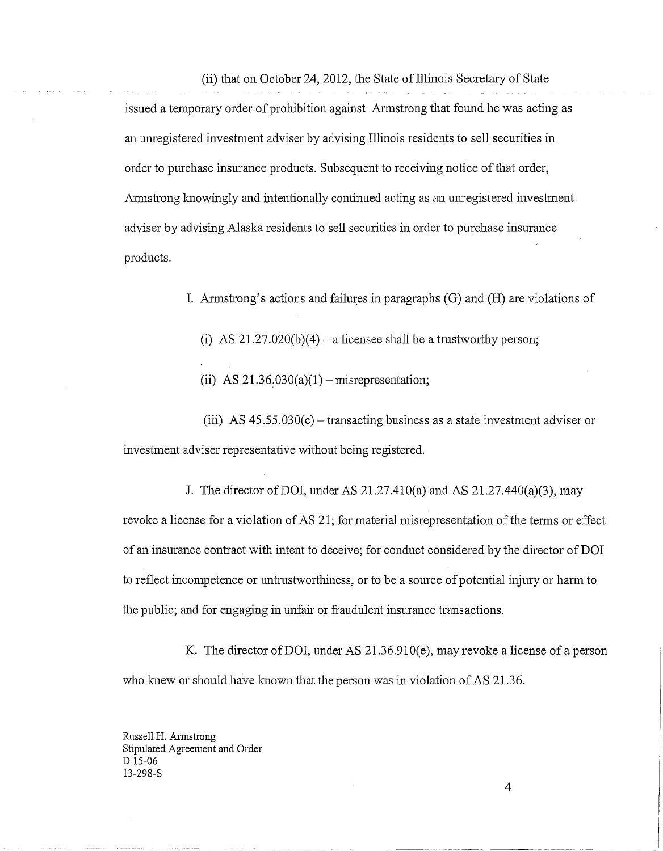(ii) that on October 24, 2012, the State of Illinois Secretary of State

issued a temporary order of prohibition against Armstrong that found he was acting as an unregistered investment adviser by advising Illinois residents to sell securities in order to purchase insurance products. Subsequent to receiving notice of that order, Armstrong knowingly and intentionally continued acting as an unregistered investment adviser by advising Alaska residents to sell securities in order to purchase insurance products.

- I. Armstrong's actions and failures in paragraphs (G) and (H) are violations of
	- (i) AS  $21.27.020(b)(4)$  a licensee shall be a trustworthy person;
	- (ii) AS  $21.36.030(a)(1)$  misrepresentation;

(iii) AS  $45.55.030(c)$  – transacting business as a state investment adviser or investment adviser representative without being registered.

J. The director of DOI, under AS 21.27.410(a) and AS 21.27.440(a)(3), may revoke a license for a violation of AS 21; for material misrepresentation of the terms or effect of an insurance contract with intent to deceive; for conduct considered by the director of DOI to reflect incompetence or untrustworthiness, or to be a source of potential injury or harm to the public; and for engaging in unfair or fraudulent insurance transactions.

K. The director of DOI, under AS  $21.36.910(e)$ , may revoke a license of a person who knew or should have known that the person was in violation of AS 21.36.

Russell H. Armstrong Stipulated Agreement and Order D 15-06 13-298-S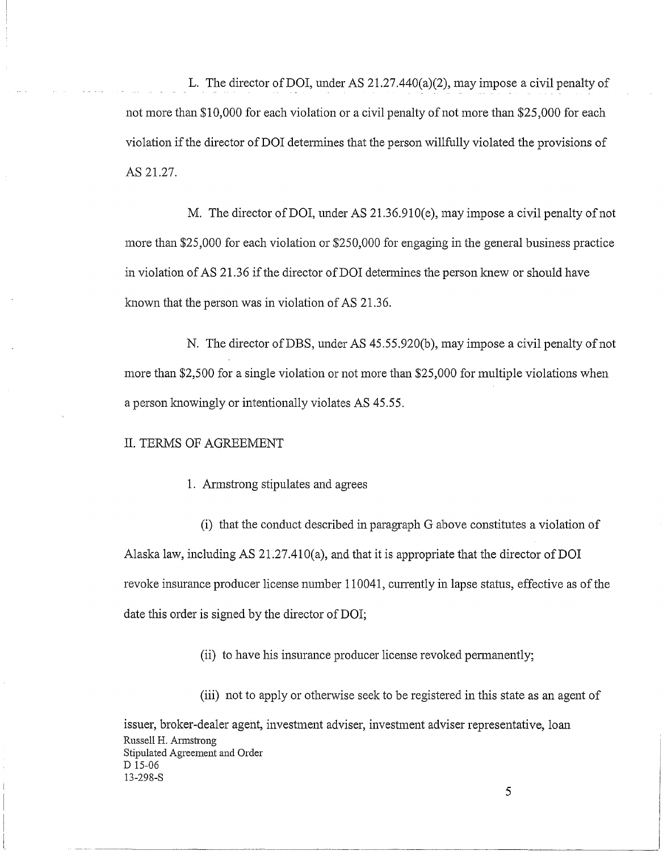L. The director of DOI, under AS 21.27.440(a)(2), may impose a civil penalty of not more than \$10,000 for each violation or a civil penalty of not more than \$25,000 for each violation if the director of DOI determines that the person willfully violated the provisions of AS 21.27.

M. The director of DOI, under AS 21.36.910(e), may impose a civil penalty of not more than \$25,000 for each violation or \$250,000 for engaging in the general business practice in violation of AS 21.36 if the director of DOI detennines the person lmew or should have known that the person was in violation of AS 21.36.

N. The director of DBS, under AS 45.55.920(b), may impose a civil penalty of not more than \$2,500 for a single violation or not more than \$25,000 for multiple violations when a person knowingly or intentionally violates AS 45.55.

#### II. TERMS OF AGREEMENT

#### 1. Annstrong stipulates and agrees

(i) that the conduct described in paragraph G above constitutes a violation of Alaska law, including AS 21.27.410(a), and that it is appropriate that the director of DOI revoke insurance producer license number 110041, currently in lapse status, effective as of the date this order is signed by the director of DOI;

(ii) to have his insurance producer license revoked permanently;

(iii) not to apply or otherwise seek to be registered in this state as an agent of

issuer, broker-dealer agent, investment adviser, investment adviser representative, loan Russell H. Armstrong Stipulated Agreement and Order D 15-06 13-298-S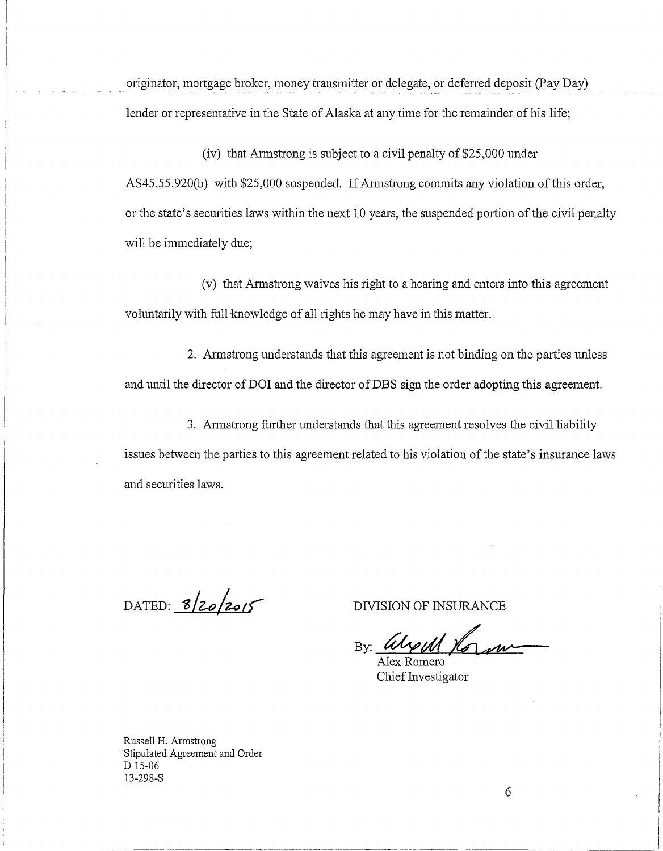originator, mortgage broker, money transmitter or delegate, or deferred deposit (Pay Day) lender or representative in the State of Alaska at any time for the remainder of his life;

(iv) that Armstrong is subject to a civil penalty of \$25,000 under AS45.55.920(b) with \$25,000 suspended. If Armstrong commits any violation of this order, or the state's securities laws within the next 10 years, the suspended portion of the civil penalty will be immediately due;

(v) that Armstrong waives his right to a hearing and enters into this agreement voluntarily with full knowledge of all rights he may have in this matter.

2. Armstrong understands that this agreement is not binding on the parties unless and until the director of DOI and the director of DBS sign the order adopting this agreement.

3. Armstrong further understands that this agreement resolves the civil liability issues between the parties to this agreement related to his violation of the state's insurance laws and securities laws.

DATED:  $8/20/2015$ 

DIVISION OF INSURANCE

 $_{\rm{By:}}$  Weint

Alex Romero • Chief Investigator

Russell H. Armstrong Stipulated Agreement and Order D 15-06 13-298-S

6

-----·-----~---~---·------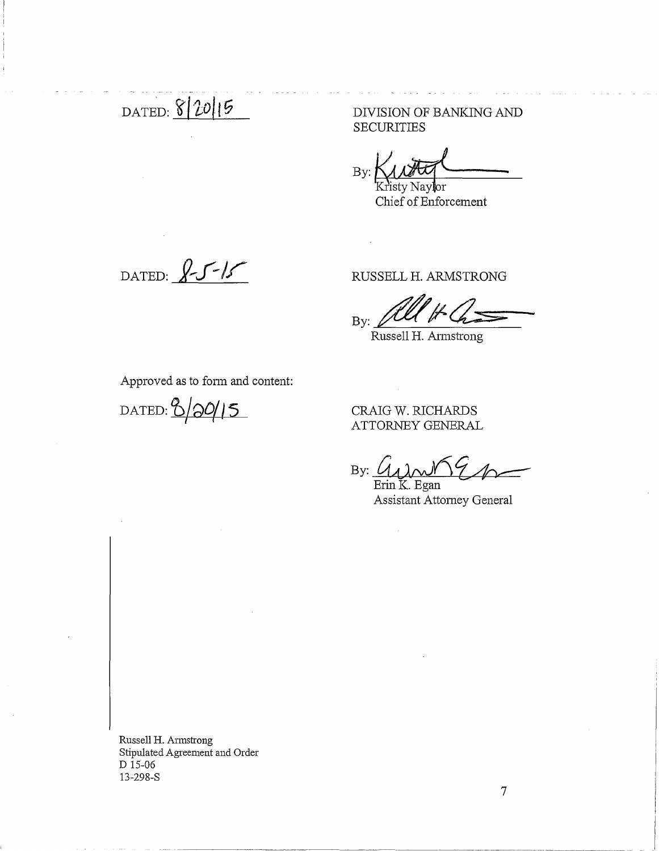- DAT~D: **<?j ·io/ t G** 

DIVISION OF BANKING AND **SECURITIES** 

 $By: \mathbb{M}\rightarrow\mathbb{M}$ 

Chief of Enforcement

DATED:  $8515$ 

RUSSELL H. ARMSTRONG

.... By:

Russell H. Armstrong

Approved as to fonn and content:

dated: <mark>8/20/15</mark>

CRAIG W. RICHARDS ATTORNEY GENERAL

·-------~·-----------~----------------------------------------- -----------~--------· ----------

By: <u>*t*</sub></u>

Erin K. Egan Assistant Attorney General

Russell H. Armstrong Stipulated Agreement and Order D 15-06 13-298-S